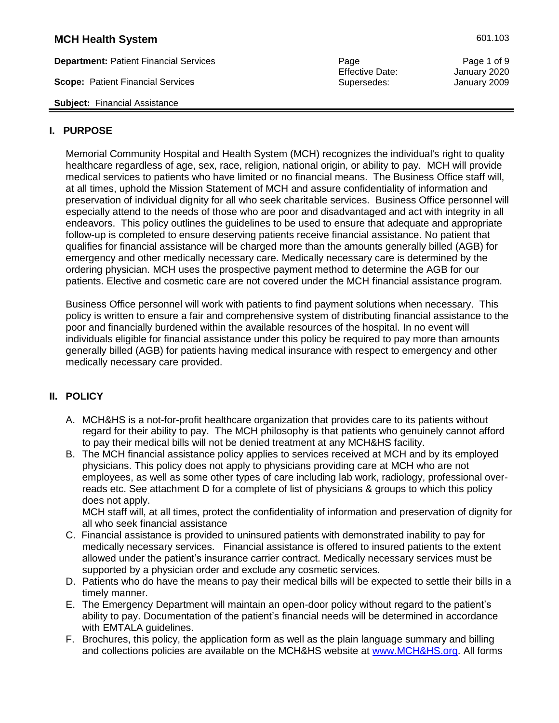**Department:** Patient Financial Services Page Page 1 of 9

**Scope:** Patient Financial Services Supersedes: Supersedes: January 2009

**Subject:** Financial Assistance

#### **I. PURPOSE**

Memorial Community Hospital and Health System (MCH) recognizes the individual's right to quality healthcare regardless of age, sex, race, religion, national origin, or ability to pay. MCH will provide medical services to patients who have limited or no financial means. The Business Office staff will, at all times, uphold the Mission Statement of MCH and assure confidentiality of information and preservation of individual dignity for all who seek charitable services. Business Office personnel will especially attend to the needs of those who are poor and disadvantaged and act with integrity in all endeavors. This policy outlines the guidelines to be used to ensure that adequate and appropriate follow-up is completed to ensure deserving patients receive financial assistance. No patient that qualifies for financial assistance will be charged more than the amounts generally billed (AGB) for emergency and other medically necessary care. Medically necessary care is determined by the ordering physician. MCH uses the prospective payment method to determine the AGB for our patients. Elective and cosmetic care are not covered under the MCH financial assistance program.

Business Office personnel will work with patients to find payment solutions when necessary. This policy is written to ensure a fair and comprehensive system of distributing financial assistance to the poor and financially burdened within the available resources of the hospital. In no event will individuals eligible for financial assistance under this policy be required to pay more than amounts generally billed (AGB) for patients having medical insurance with respect to emergency and other medically necessary care provided.

### **II. POLICY**

- A. MCH&HS is a not-for-profit healthcare organization that provides care to its patients without regard for their ability to pay. The MCH philosophy is that patients who genuinely cannot afford to pay their medical bills will not be denied treatment at any MCH&HS facility.
- B. The MCH financial assistance policy applies to services received at MCH and by its employed physicians. This policy does not apply to physicians providing care at MCH who are not employees, as well as some other types of care including lab work, radiology, professional overreads etc. See attachment D for a complete of list of physicians & groups to which this policy does not apply.

MCH staff will, at all times, protect the confidentiality of information and preservation of dignity for all who seek financial assistance

- C. Financial assistance is provided to uninsured patients with demonstrated inability to pay for medically necessary services. Financial assistance is offered to insured patients to the extent allowed under the patient's insurance carrier contract. Medically necessary services must be supported by a physician order and exclude any cosmetic services.
- D. Patients who do have the means to pay their medical bills will be expected to settle their bills in a timely manner.
- E. The Emergency Department will maintain an open-door policy without regard to the patient's ability to pay. Documentation of the patient's financial needs will be determined in accordance with EMTALA guidelines.
- F. Brochures, this policy, the application form as well as the plain language summary and billing and collections policies are available on the MCH&HS website at [www.MCH&HS.org.](http://www.mchhs.org/) All forms

Effective Date: January 2020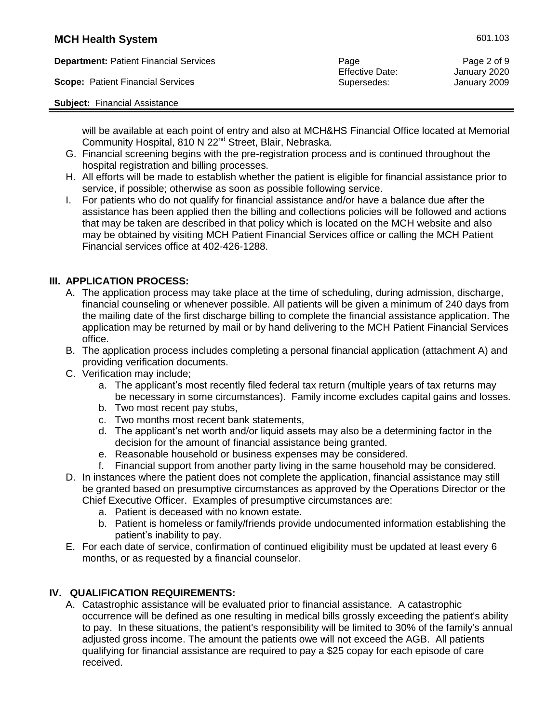**Department:** Patient Financial Services **Page Page Page Page Page 2 of 9** 

**Scope:** Patient Financial Services Supersedes: Supersedes: January 2009

**Subject:** Financial Assistance

Effective Date: January 2020

will be available at each point of entry and also at MCH&HS Financial Office located at Memorial Community Hospital, 810 N 22<sup>nd</sup> Street, Blair, Nebraska.

- G. Financial screening begins with the pre-registration process and is continued throughout the hospital registration and billing processes.
- H. All efforts will be made to establish whether the patient is eligible for financial assistance prior to service, if possible; otherwise as soon as possible following service.
- I. For patients who do not qualify for financial assistance and/or have a balance due after the assistance has been applied then the billing and collections policies will be followed and actions that may be taken are described in that policy which is located on the MCH website and also may be obtained by visiting MCH Patient Financial Services office or calling the MCH Patient Financial services office at 402-426-1288.

# **III. APPLICATION PROCESS:**

- A. The application process may take place at the time of scheduling, during admission, discharge, financial counseling or whenever possible. All patients will be given a minimum of 240 days from the mailing date of the first discharge billing to complete the financial assistance application. The application may be returned by mail or by hand delivering to the MCH Patient Financial Services office.
- B. The application process includes completing a personal financial application (attachment A) and providing verification documents.
- C. Verification may include;
	- a. The applicant's most recently filed federal tax return (multiple years of tax returns may be necessary in some circumstances). Family income excludes capital gains and losses.
	- b. Two most recent pay stubs,
	- c. Two months most recent bank statements,
	- d. The applicant's net worth and/or liquid assets may also be a determining factor in the decision for the amount of financial assistance being granted.
	- e. Reasonable household or business expenses may be considered.
- f. Financial support from another party living in the same household may be considered. D. In instances where the patient does not complete the application, financial assistance may still be granted based on presumptive circumstances as approved by the Operations Director or the Chief Executive Officer. Examples of presumptive circumstances are:
	- a. Patient is deceased with no known estate.
	- b. Patient is homeless or family/friends provide undocumented information establishing the patient's inability to pay.
- E. For each date of service, confirmation of continued eligibility must be updated at least every 6 months, or as requested by a financial counselor.

# **IV. QUALIFICATION REQUIREMENTS:**

A. Catastrophic assistance will be evaluated prior to financial assistance. A catastrophic occurrence will be defined as one resulting in medical bills grossly exceeding the patient's ability to pay. In these situations, the patient's responsibility will be limited to 30% of the family's annual adjusted gross income. The amount the patients owe will not exceed the AGB. All patients qualifying for financial assistance are required to pay a \$25 copay for each episode of care received.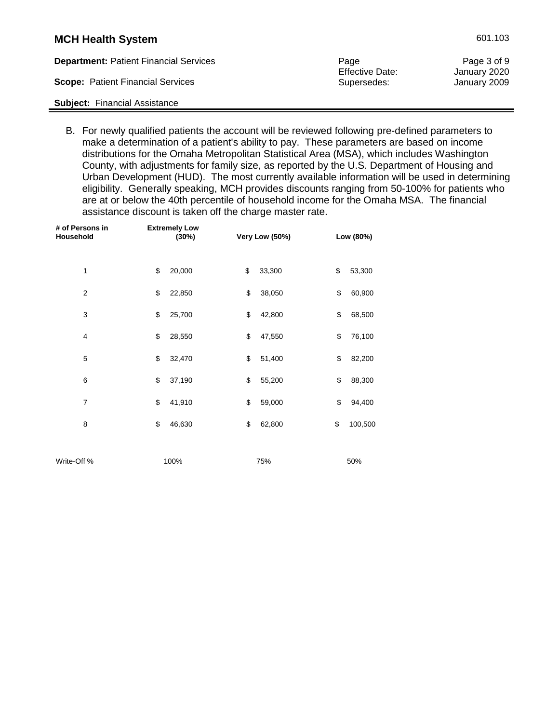| <b>MCH Health System</b>                      |      | 601.103                     |
|-----------------------------------------------|------|-----------------------------|
| <b>Denartment:</b> Patient Financial Services | Dana | $P$ <sub>200</sub> $3$ of 0 |

| <b>Department: Patient Financial Services</b> | Page                   | Page 3 of 9  |
|-----------------------------------------------|------------------------|--------------|
|                                               | <b>Effective Date:</b> | January 2020 |
| <b>Scope: Patient Financial Services</b>      | Supersedes:            | January 2009 |
| <b>Subject:</b> Financial Assistance          |                        |              |

B. For newly qualified patients the account will be reviewed following pre-defined parameters to make a determination of a patient's ability to pay. These parameters are based on income distributions for the Omaha Metropolitan Statistical Area (MSA), which includes Washington County, with adjustments for family size, as reported by the U.S. Department of Housing and Urban Development (HUD). The most currently available information will be used in determining eligibility. Generally speaking, MCH provides discounts ranging from 50-100% for patients who are at or below the 40th percentile of household income for the Omaha MSA. The financial assistance discount is taken off the charge master rate.

| # of Persons in<br>Household | <b>Extremely Low</b><br>(30%) | Very Low (50%) | Low (80%) |
|------------------------------|-------------------------------|----------------|-----------|
| 1                            | \$                            | \$             | \$        |
|                              | 20,000                        | 33,300         | 53,300    |
| $\overline{2}$               | \$                            | \$             | \$        |
|                              | 22,850                        | 38,050         | 60,900    |
| 3                            | \$                            | \$             | \$        |
|                              | 25,700                        | 42,800         | 68,500    |
| $\overline{4}$               | \$                            | \$             | \$        |
|                              | 28,550                        | 47,550         | 76,100    |
| 5                            | \$                            | \$             | \$        |
|                              | 32,470                        | 51,400         | 82,200    |
| 6                            | \$                            | \$             | \$        |
|                              | 37,190                        | 55,200         | 88,300    |
| $\boldsymbol{7}$             | \$                            | \$             | \$        |
|                              | 41,910                        | 59,000         | 94,400    |
| 8                            | \$                            | \$             | \$        |
|                              | 46,630                        | 62,800         | 100,500   |
|                              |                               |                |           |
| Write-Off %                  | 100%                          | 75%            | 50%       |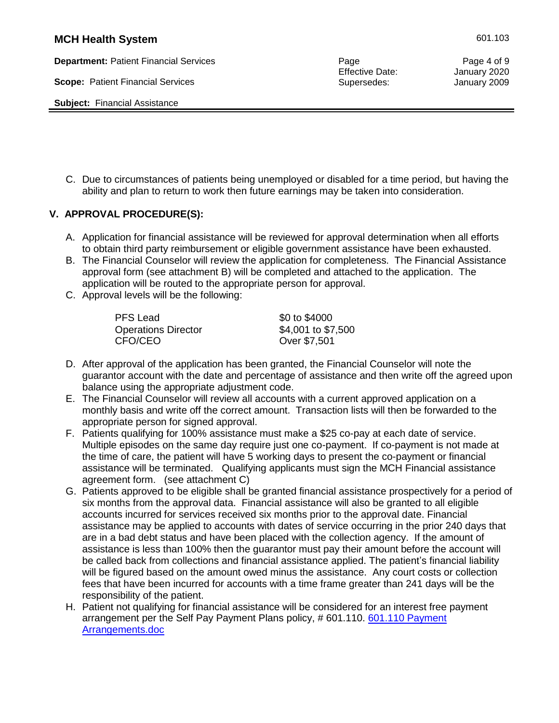**Department:** Patient Financial Services **Accord Page Page Page Page Page Page Page 4 of 9** 

**Scope:** Patient Financial Services Supersedes: Supersedes: January 2009

**Subject:** Financial Assistance

Effective Date: January 2020

C. Due to circumstances of patients being unemployed or disabled for a time period, but having the ability and plan to return to work then future earnings may be taken into consideration.

#### **V. APPROVAL PROCEDURE(S):**

- A. Application for financial assistance will be reviewed for approval determination when all efforts to obtain third party reimbursement or eligible government assistance have been exhausted.
- B. The Financial Counselor will review the application for completeness. The Financial Assistance approval form (see attachment B) will be completed and attached to the application. The application will be routed to the appropriate person for approval.
- C. Approval levels will be the following:

PFS Lead \$0 to \$4000 Operations Director \$4,001 to \$7,500 CFO/CEO Over \$7,501

- D. After approval of the application has been granted, the Financial Counselor will note the guarantor account with the date and percentage of assistance and then write off the agreed upon balance using the appropriate adjustment code.
- E. The Financial Counselor will review all accounts with a current approved application on a monthly basis and write off the correct amount. Transaction lists will then be forwarded to the appropriate person for signed approval.
- F. Patients qualifying for 100% assistance must make a \$25 co-pay at each date of service. Multiple episodes on the same day require just one co-payment. If co-payment is not made at the time of care, the patient will have 5 working days to present the co-payment or financial assistance will be terminated. Qualifying applicants must sign the MCH Financial assistance agreement form. (see attachment C)
- G. Patients approved to be eligible shall be granted financial assistance prospectively for a period of six months from the approval data. Financial assistance will also be granted to all eligible accounts incurred for services received six months prior to the approval date. Financial assistance may be applied to accounts with dates of service occurring in the prior 240 days that are in a bad debt status and have been placed with the collection agency. If the amount of assistance is less than 100% then the guarantor must pay their amount before the account will be called back from collections and financial assistance applied. The patient's financial liability will be figured based on the amount owed minus the assistance. Any court costs or collection fees that have been incurred for accounts with a time frame greater than 241 days will be the responsibility of the patient.
- H. Patient not qualifying for financial assistance will be considered for an interest free payment arrangement per the Self Pay Payment Plans policy, #601.110. 601.110 Payment [Arrangements.doc](https://mchhs.org/images/601.110%20Payment%20Arrangements.doc)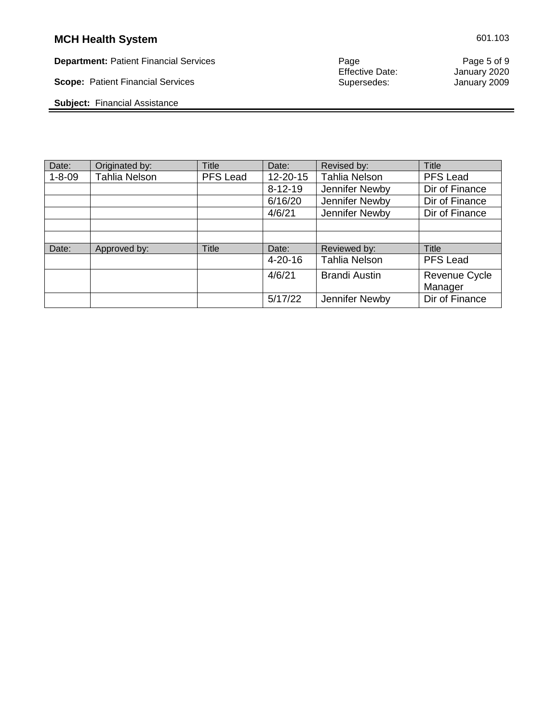**Scope: Patient Financial Services** 

**Subject:** Financial Assistance

Page<br>Effective Date:<br>Supersedes:

**Department:** Patient Financial Services Page Page 5 of 9

| Date:        | Originated by:       | <b>Title</b> | Date:         | Revised by:          | Title                    |
|--------------|----------------------|--------------|---------------|----------------------|--------------------------|
| $1 - 8 - 09$ | <b>Tahlia Nelson</b> | PFS Lead     | 12-20-15      | <b>Tahlia Nelson</b> | <b>PFS Lead</b>          |
|              |                      |              | $8 - 12 - 19$ | Jennifer Newby       | Dir of Finance           |
|              |                      |              | 6/16/20       | Jennifer Newby       | Dir of Finance           |
|              |                      |              | 4/6/21        | Jennifer Newby       | Dir of Finance           |
|              |                      |              |               |                      |                          |
|              |                      |              |               |                      |                          |
| Date:        | Approved by:         | <b>Title</b> | Date:         | Reviewed by:         | <b>Title</b>             |
|              |                      |              | $4 - 20 - 16$ | <b>Tahlia Nelson</b> | PFS Lead                 |
|              |                      |              | 4/6/21        | <b>Brandi Austin</b> | Revenue Cycle<br>Manager |
|              |                      |              | 5/17/22       | Jennifer Newby       | Dir of Finance           |

 $\blacksquare$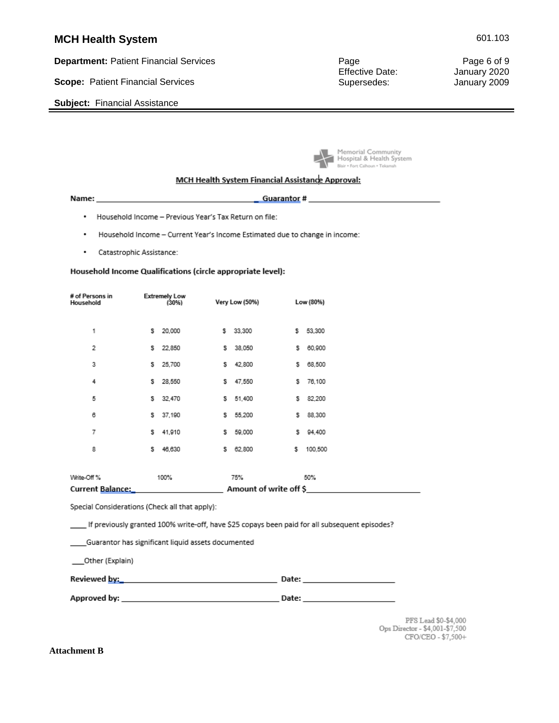**Department:** Patient Financial Services **Page Page Page Page Page 8 of 9** 

**Scope:** Patient Financial Services **Supersedes:** Supersedes: January 2009

**Subject:** Financial Assistance

Effective Date: January 2020

Memorial Community<br>A Hospital & Health System **Blair . Fort Calhoun . Tekamah** 

#### MCH Health System Financial Assistance Approval:

- . Household Income Previous Year's Tax Return on file:
- . Household Income - Current Year's Income Estimated due to change in income:
- . Catastrophic Assistance:

#### Household Income Qualifications (circle appropriate level):

| # of Persons in<br>Household |   | <b>Extremely Low</b><br>(30%) |    | Very Low (50%)         |    | Low (80%) |
|------------------------------|---|-------------------------------|----|------------------------|----|-----------|
| 1                            | s | 20,000                        | \$ | 33,300                 | \$ | 53,300    |
| 2                            | s | 22,850                        | s  | 38,050                 | s  | 60,900    |
| 3                            | s | 25,700                        | s  | 42,800                 | s  | 68,500    |
| 4                            | s | 28,550                        | s  | 47,550                 | s  | 76,100    |
| 5                            | s | 32,470                        | s  | 51,400                 | s  | 82,200    |
| 6                            | s | 37,190                        | s  | 55,200                 | s  | 88,300    |
| 7                            | s | 41,910                        | s  | 59,000                 | s  | 94,400    |
| 8                            | s | 46,630                        | s  | 62,800                 | \$ | 100,500   |
|                              |   |                               |    |                        |    |           |
| Write-Off %                  |   | 100%                          |    | 75%                    |    | 50%       |
| <b>Current Balance:</b>      |   |                               |    | Amount of write off \$ |    |           |

Special Considerations (Check all that apply):

. If previously granted 100% write-off, have \$25 copays been paid for all subsequent episodes?

| Guarantor has significant liquid assets documented |  |  |  |  |  |
|----------------------------------------------------|--|--|--|--|--|
|----------------------------------------------------|--|--|--|--|--|

\_\_\_Other (Explain)

| Reviewed by: | Date: |
|--------------|-------|
|--------------|-------|

PFS Lead \$0-\$4,000 Ops Director - \$4,001-\$7,500 CFO/CEO - \$7,500+

**Attachment B**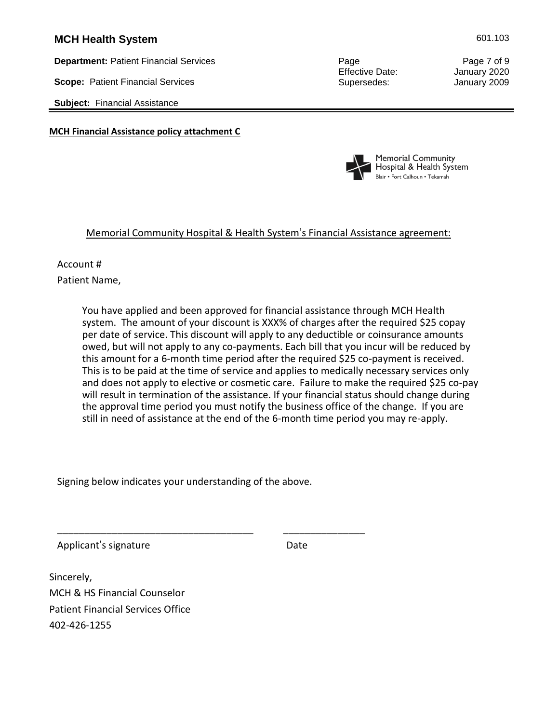**Department:** Patient Financial Services **Page Page Page Page Page Page 7 of 9** 

**Scope:** Patient Financial Services Supersedes: Supersedes: January 2009

**Subject:** Financial Assistance

**MCH Financial Assistance policy attachment C**

Effective Date: January 2020



### Memorial Community Hospital & Health System's Financial Assistance agreement:

#### Account #

Patient Name,

 You have applied and been approved for financial assistance through MCH Health system. The amount of your discount is XXX% of charges after the required \$25 copay per date of service. This discount will apply to any deductible or coinsurance amounts owed, but will not apply to any co-payments. Each bill that you incur will be reduced by this amount for a 6-month time period after the required \$25 co-payment is received. This is to be paid at the time of service and applies to medically necessary services only and does not apply to elective or cosmetic care. Failure to make the required \$25 co-pay will result in termination of the assistance. If your financial status should change during the approval time period you must notify the business office of the change. If you are still in need of assistance at the end of the 6-month time period you may re-apply.

Signing below indicates your understanding of the above.

\_\_\_\_\_\_\_\_\_\_\_\_\_\_\_\_\_\_\_\_\_\_\_\_\_\_\_\_\_\_\_\_\_\_\_\_ \_\_\_\_\_\_\_\_\_\_\_\_\_\_\_

Applicant's signature Date

Sincerely, MCH & HS Financial Counselor Patient Financial Services Office 402-426-1255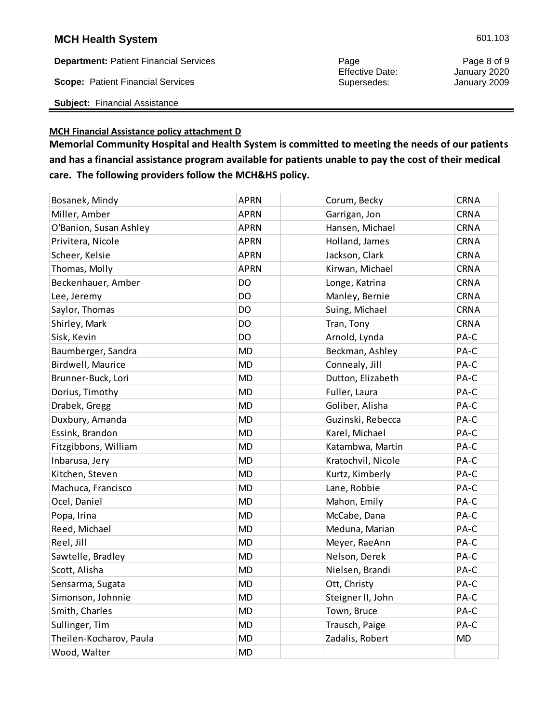**Department:** Patient Financial Services **Page 8 of 9** Page 8 of 9 Page 8 of 9 Page 8 of 9 Page 8 of 9

**Scope:** Patient Financial Services Supersedes: Supersedes: January 2009

**Subject:** Financial Assistance

#### **MCH Financial Assistance policy attachment D**

**care. The following providers follow the MCH&HS policy.**

Effective Date:

| Bosanek, Mindy          | <b>APRN</b> | Corum, Becky       | <b>CRNA</b> |
|-------------------------|-------------|--------------------|-------------|
| Miller, Amber           | <b>APRN</b> | Garrigan, Jon      | <b>CRNA</b> |
| O'Banion, Susan Ashley  | <b>APRN</b> | Hansen, Michael    | <b>CRNA</b> |
| Privitera, Nicole       | <b>APRN</b> | Holland, James     | CRNA        |
| Scheer, Kelsie          | <b>APRN</b> | Jackson, Clark     | <b>CRNA</b> |
| Thomas, Molly           | <b>APRN</b> | Kirwan, Michael    | <b>CRNA</b> |
| Beckenhauer, Amber      | DO          | Longe, Katrina     | <b>CRNA</b> |
| Lee, Jeremy             | DO          | Manley, Bernie     | <b>CRNA</b> |
| Saylor, Thomas          | DO          | Suing, Michael     | <b>CRNA</b> |
| Shirley, Mark           | DO          | Tran, Tony         | <b>CRNA</b> |
| Sisk, Kevin             | DO          | Arnold, Lynda      | PA-C        |
| Baumberger, Sandra      | <b>MD</b>   | Beckman, Ashley    | PA-C        |
| Birdwell, Maurice       | <b>MD</b>   | Connealy, Jill     | PA-C        |
| Brunner-Buck, Lori      | <b>MD</b>   | Dutton, Elizabeth  | PA-C        |
| Dorius, Timothy         | <b>MD</b>   | Fuller, Laura      | PA-C        |
| Drabek, Gregg           | <b>MD</b>   | Goliber, Alisha    | PA-C        |
| Duxbury, Amanda         | <b>MD</b>   | Guzinski, Rebecca  | PA-C        |
| Essink, Brandon         | <b>MD</b>   | Karel, Michael     | PA-C        |
| Fitzgibbons, William    | <b>MD</b>   | Katambwa, Martin   | PA-C        |
| Inbarusa, Jery          | <b>MD</b>   | Kratochvil, Nicole | PA-C        |
| Kitchen, Steven         | <b>MD</b>   | Kurtz, Kimberly    | PA-C        |
| Machuca, Francisco      | <b>MD</b>   | Lane, Robbie       | PA-C        |
| Ocel, Daniel            | <b>MD</b>   | Mahon, Emily       | PA-C        |
| Popa, Irina             | <b>MD</b>   | McCabe, Dana       | PA-C        |
| Reed, Michael           | <b>MD</b>   | Meduna, Marian     | PA-C        |
| Reel, Jill              | <b>MD</b>   | Meyer, RaeAnn      | PA-C        |
| Sawtelle, Bradley       | <b>MD</b>   | Nelson, Derek      | PA-C        |
| Scott, Alisha           | <b>MD</b>   | Nielsen, Brandi    | PA-C        |
| Sensarma, Sugata        | <b>MD</b>   | Ott, Christy       | PA-C        |
| Simonson, Johnnie       | <b>MD</b>   | Steigner II, John  | PA-C        |
| Smith, Charles          | <b>MD</b>   | Town, Bruce        | PA-C        |
| Sullinger, Tim          | <b>MD</b>   | Trausch, Paige     | PA-C        |
| Theilen-Kocharov, Paula | <b>MD</b>   | Zadalis, Robert    | <b>MD</b>   |
| Wood, Walter            | <b>MD</b>   |                    |             |

**Memorial Community Hospital and Health System is committed to meeting the needs of our patients and has a financial assistance program available for patients unable to pay the cost of their medical**